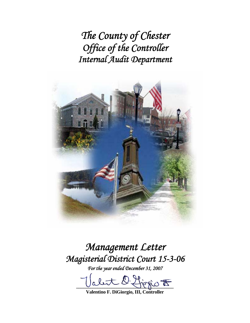*The County of Chester Office of the Controller Internal Audit Department* 



*Management Letter Magisterial District Court 15-3-06* 

*For the year ended December 31, 2007* 

let O. Ljogis F

**Valentino F. DiGiorgio, III, Controller**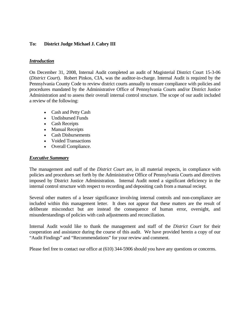## **To: District Judge Michael J. Cabry III**

### *Introduction*

On December 31, 2008, Internal Audit completed an audit of Magisterial District Court 15-3-06 (*District Court*). Robert Pinkos, CIA, was the auditor-in-charge. Internal Audit is required by the Pennsylvania County Code to review district courts annually to ensure compliance with policies and procedures mandated by the Administrative Office of Pennsylvania Courts and/or District Justice Administration and to assess their overall internal control structure. The scope of our audit included a review of the following:

- Cash and Petty Cash
- Undisbursed Funds
- Cash Receipts
- Manual Receipts
- Cash Disbursements
- Voided Transactions
- Overall Compliance.

#### *Executive Summary*

The management and staff of the *District Court* are, in all material respects, in compliance with policies and procedures set forth by the Administrative Office of Pennsylvania Courts and directives imposed by District Justice Administration. Internal Audit noted a significant deficiency in the internal control structure with respect to recording and depositing cash from a manual reciept.

Several other matters of a lesser significance involving internal controls and non-compliance are included within this management letter. It does not appear that these matters are the result of deliberate misconduct but are instead the consequence of human error, oversight, and misunderstandings of policies with cash adjustments and reconciliation.

Internal Audit would like to thank the management and staff of the *District Court* for their cooperation and assistance during the course of this audit. We have provided herein a copy of our "Audit Findings" and "Recommendations" for your review and comment.

Please feel free to contact our office at (610) 344-5906 should you have any questions or concerns.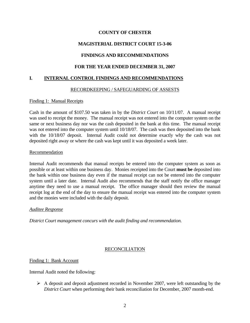# **MAGISTERIAL DISTRICT COURT 15-3-06**

# **FINDINGS AND RECOMMENDATIONS**

## **FOR THE YEAR ENDED DECEMBER 31, 2007**

### **I. INTERNAL CONTROL FINDINGS AND RECOMMENDATIONS**

### RECORDKEEPING / SAFEGUARDING OF ASSESTS

#### Finding 1: Manual Receipts

Cash in the amount of \$107.50 was taken in by the *District Court* on 10/11/07. A manual receipt was used to receipt the money. The manual receipt was not entered into the computer system on the same or next business day nor was the cash deposited in the bank at this time. The manual receipt was not entered into the computer system until 10/18/07. The cash was then deposited into the bank with the 10/18/07 deposit. Internal Audit could not determine exactly why the cash was not deposited right away or where the cash was kept until it was deposited a week later.

#### Recommendation

Internal Audit recommends that manual receipts be entered into the computer system as soon as possible or at least within one business day. Monies receipted into the Court **must be** deposited into the bank within one business day even if the manual receipt can not be entered into the computer system until a later date. Internal Audit also recommends that the staff notify the office manager anytime they need to use a manual receipt. The office manager should then review the manual receipt log at the end of the day to ensure the manual receipt was entered into the computer system and the monies were included with the daily deposit.

### *Auditee Response*

*District Court management concurs with the audit finding and recommendation.* 

### RECONCILIATION

### Finding 1: Bank Account

Internal Audit noted the following:

 $\triangleright$  A deposit and deposit adjustment recorded in November 2007, were left outstanding by the *District Court* when performing their bank reconciliation for December, 2007 month-end.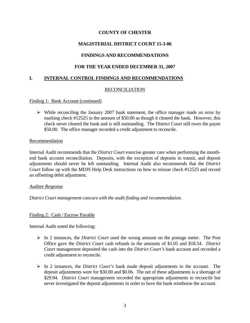# **MAGISTERIAL DISTRICT COURT 15-3-06**

# **FINDINGS AND RECOMMENDATIONS**

## **FOR THE YEAR ENDED DECEMBER 31, 2007**

### **I. INTERNAL CONTROL FINDINGS AND RECOMMENDATIONS**

### RECONCILIATION

#### Finding 1: Bank Account (continued)

 $\triangleright$  While reconciling the January 2007 bank statement, the office manager made an error by marking check #12525 in the amount of \$50.00 as though it cleared the bank. However, this check never cleared the bank and is still outstanding. The District Court still owes the payee \$50.00. The office manager recorded a credit adjustment to reconcile.

#### Recommendation

Internal Audit recommends that the *District Court* exercise greater care when performing the monthend bank account reconciliation. Deposits, with the exception of deposits in transit, and deposit adjustments should never be left outstanding. Internal Audit also recommends that the *District Court* follow up with the MDJS Help Desk instructions on how to reissue check #12525 and record an offsetting debit adjustment.

#### *Auditee Response*

*District Court management concurs with the audit finding and recommendation.* 

#### Finding 2: Cash / Escrow Payable

Internal Audit noted the following:

- ¾ In 2 instances, the *District Court* used the wrong amount on the postage meter. The Post Office gave the *District Court* cash refunds in the amounts of \$1.05 and \$18.54. *District Court* management deposited the cash into the *District Court's* bank account and recorded a credit adjustment to reconcile.
- ¾ In 2 instances, the *District Court's* bank made deposit adjustments to the account. The deposit adjustments were for \$30.00 and \$0.06. The net of these adjustments is a shortage of \$29.94. *District Court* management recorded the appropriate adjustments to reconcile but never investigated the deposit adjustments in order to have the bank reimburse the account.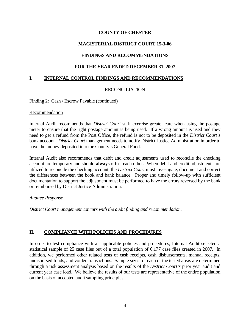# **MAGISTERIAL DISTRICT COURT 15-3-06**

# **FINDINGS AND RECOMMENDATIONS**

## **FOR THE YEAR ENDED DECEMBER 31, 2007**

### **I. INTERNAL CONTROL FINDINGS AND RECOMMENDATIONS**

### RECONCILIATION

#### Finding 2: Cash / Escrow Payable (continued)

#### Recommendation

Internal Audit recommends that *District Court* staff exercise greater care when using the postage meter to ensure that the right postage amount is being used. If a wrong amount is used and they need to get a refund from the Post Office, the refund is not to be deposited in the *District Court's* bank account. *District Court* management needs to notify District Justice Administration in order to have the money deposited into the County's General Fund.

Internal Audit also recommends that debit and credit adjustments used to reconcile the checking account are temporary and should **always** offset each other. When debit and credit adjustments are utilized to reconcile the checking account, the *District Court* must investigate, document and correct the differences between the book and bank balance. Proper and timely follow-up with sufficient documentation to support the adjustment must be performed to have the errors reversed by the bank or reimbursed by District Justice Administration.

#### *Auditee Response*

*District Court management concurs with the audit finding and recommendation.* 

## **II. COMPLIANCE WITH POLICIES AND PROCEDURES**

In order to test compliance with all applicable policies and procedures, Internal Audit selected a statistical sample of 25 case files out of a total population of 6,177 case files created in 2007. In addition, we performed other related tests of cash receipts, cash disbursements, manual receipts, undisbursed funds, and voided transactions. Sample sizes for each of the tested areas are determined through a risk assessment analysis based on the results of the *District Court's* prior year audit and current year case load. We believe the results of our tests are representative of the entire population on the basis of accepted audit sampling principles.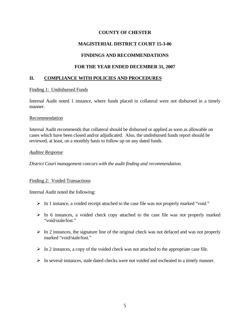## **MAGISTERIAL DISTRICT COURT 15-3-06**

## **FINDINGS AND RECOMMENDATIONS**

## **FOR THE YEAR ENDED DECEMBER 31, 2007**

### **II. COMPLIANCE WITH POLICIES AND PROCEDURES**

#### Finding 1: Undisbursed Funds

Internal Audit noted 1 instance, where funds placed in collateral were not disbursed in a timely manner.

#### Recommendation

Internal Audit recommends that collateral should be disbursed or applied as soon as allowable on cases which have been closed and/or adjudicated. Also, the undisbursed funds report should be reviewed, at least, on a monthly basis to follow up on any dated funds.

#### *Auditee Response*

*District Court management concurs with the audit finding and recommendation.* 

### Finding 2: Voided Transactions

Internal Audit noted the following:

- ¾ In 1 instance, a voided receipt attached to the case file was not properly marked "void."
- $\triangleright$  In 6 instances, a voided check copy attached to the case file was not properly marked "void/stale/lost."
- $\triangleright$  In 2 instances, the signature line of the original check was not defaced and was not properly marked "void/stale/lost."
- $\triangleright$  In 2 instances, a copy of the voided check was not attached to the appropriate case file.
- $\triangleright$  In several instances, stale dated checks were not voided and escheated in a timely manner.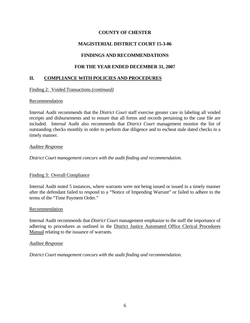# **MAGISTERIAL DISTRICT COURT 15-3-06**

# **FINDINGS AND RECOMMENDATIONS**

## **FOR THE YEAR ENDED DECEMBER 31, 2007**

### **II. COMPLIANCE WITH POLICIES AND PROCEDURES**

#### Finding 2: Voided Transactions *(continued)*

#### Recommendation

Internal Audit recommends that the *District Court* staff exercise greater care in labeling all voided receipts and disbursements and to ensure that all forms and records pertaining to the case file are included. Internal Audit also recommends that *District Court* management monitor the list of outstanding checks monthly in order to perform due diligence and to escheat stale dated checks in a timely manner.

#### *Auditee Response*

*District Court management concurs with the audit finding and recommendation.* 

### Finding 3: Overall Compliance

Internal Audit noted 5 instances, where warrants were not being issued or issued in a timely manner after the defendant failed to respond to a "Notice of Impending Warrant" or failed to adhere to the terms of the "Time Payment Order."

#### Recommendation

Internal Audit recommends that *District Court* management emphasize to the staff the importance of adhering to procedures as outlined in the District Justice Automated Office Clerical Procedures Manual relating to the issuance of warrants.

#### *Auditee Response*

*District Court management concurs with the audit finding and recommendation.*